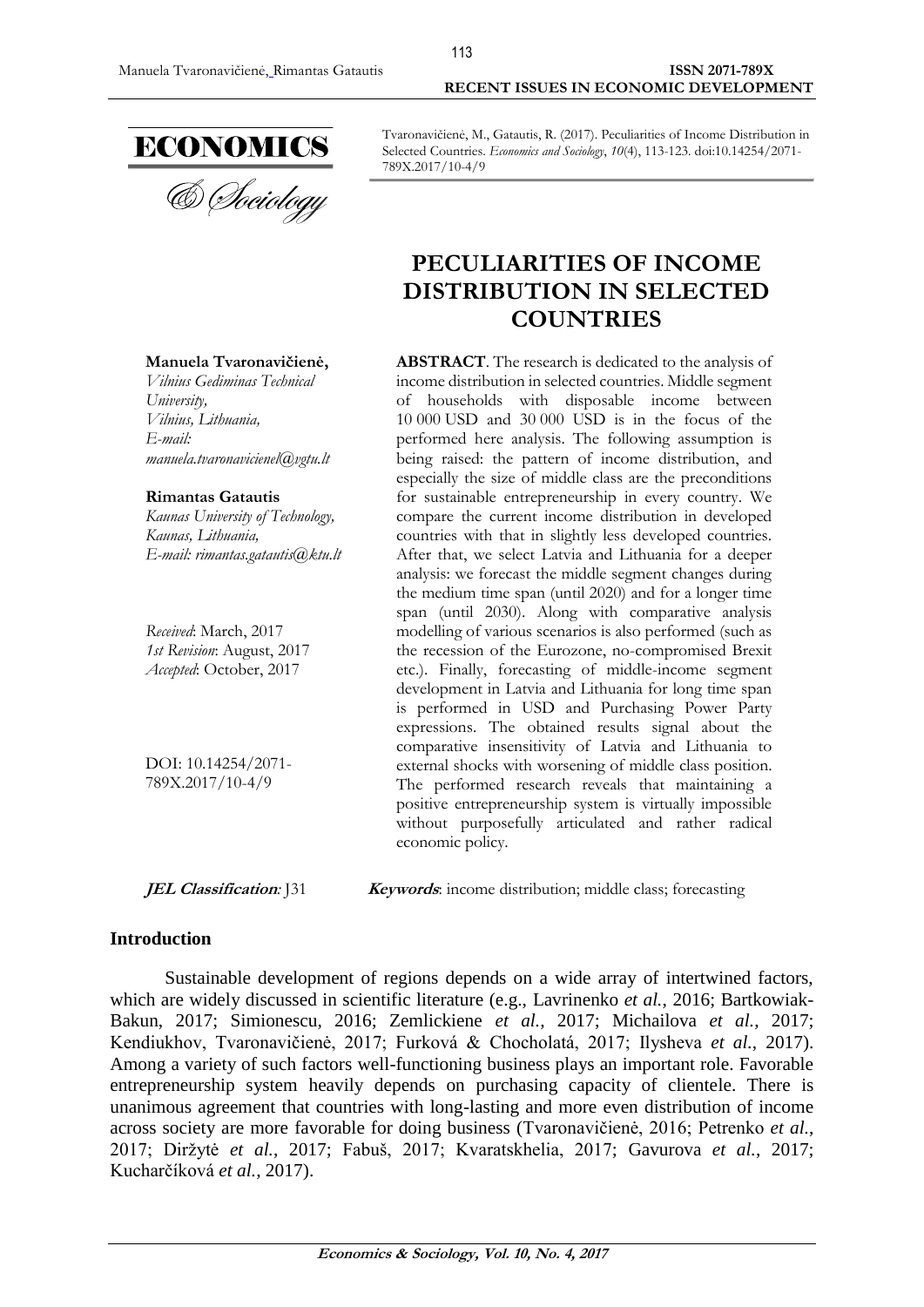

**Manuela Tvaronavičienė,** *Vilnius Gediminas Technical* 

*[manuela.tvaronavicienel@vgtu.lt](mailto:manuela.tvaronavicienel@vgtu.lt)*

*Kaunas University of Technology,*

*E-mail: [rimantas.gatautis@ktu.lt](mailto:rimantas.gatautis@ktu.lt)*

*University,*

*E-mail:* 

*[Vilnius,](https://en.wikipedia.org/wiki/Podgorica) Lithuania,*

**Rimantas Gatautis**

*Received*: March, 2017 *1st Revision*: August, 2017 *Accepted*: October, 2017

DOI: 10.14254/2071- 789X.2017/10-4/9

*[Kaunas,](https://maps.google.com/?q=Gedimino+g.+20,+Kaunas&entry=gmail&source=g) Lithuania,*

Tvaronavičienė, M., Gatautis, R. (2017). Peculiarities of Income Distribution in Selected Countries. *Economics and Sociology*, *10*(4), 113-123. doi:10.14254/2071- 789X.2017/10-4/9

# **PECULIARITIES OF INCOME DISTRIBUTION IN SELECTED COUNTRIES**

**ABSTRACT**. The research is dedicated to the analysis of income distribution in selected countries. Middle segment of households with disposable income between 10 000 USD and 30 000 USD is in the focus of the performed here analysis. The following assumption is being raised: the pattern of income distribution, and especially the size of middle class are the preconditions for sustainable entrepreneurship in every country. We compare the current income distribution in developed countries with that in slightly less developed countries. After that, we select Latvia and Lithuania for a deeper analysis: we forecast the middle segment changes during the medium time span (until 2020) and for a longer time span (until 2030). Along with comparative analysis modelling of various scenarios is also performed (such as the recession of the Eurozone, no-compromised Brexit etc.). Finally, forecasting of middle-income segment development in Latvia and Lithuania for long time span is performed in USD and Purchasing Power Party expressions. The obtained results signal about the comparative insensitivity of Latvia and Lithuania to external shocks with worsening of middle class position. The performed research reveals that maintaining a positive entrepreneurship system is virtually impossible without purposefully articulated and rather radical economic policy.

**JEL Classification**: J31 **Keywords**: income distribution; middle class; forecasting

#### **Introduction**

Sustainable development of regions depends on a wide array of intertwined factors, which are widely discussed in scientific literature (e.g., Lavrinenko *et al.*, 2016; Bartkowiak-Bakun, 2017; Simionescu, 2016; Zemlickiene *et al.*, 2017; Michailova *et al.*, 2017; Kendiukhov, Tvaronavičienė, 2017; Furková & Chocholatá, 2017; Ilysheva *et al.*, 2017). Among a variety of such factors well-functioning business plays an important role. Favorable entrepreneurship system heavily depends on purchasing capacity of clientele. There is unanimous agreement that countries with long-lasting and more even distribution of income across society are more favorable for doing business (Tvaronavičienė, 2016; Petrenko *et al.*, 2017; Diržytė *et al.*, 2017; Fabuš, 2017; Kvaratskhelia, 2017; Gavurova *et al.*, 2017; Kucharčíková *et al.*, 2017).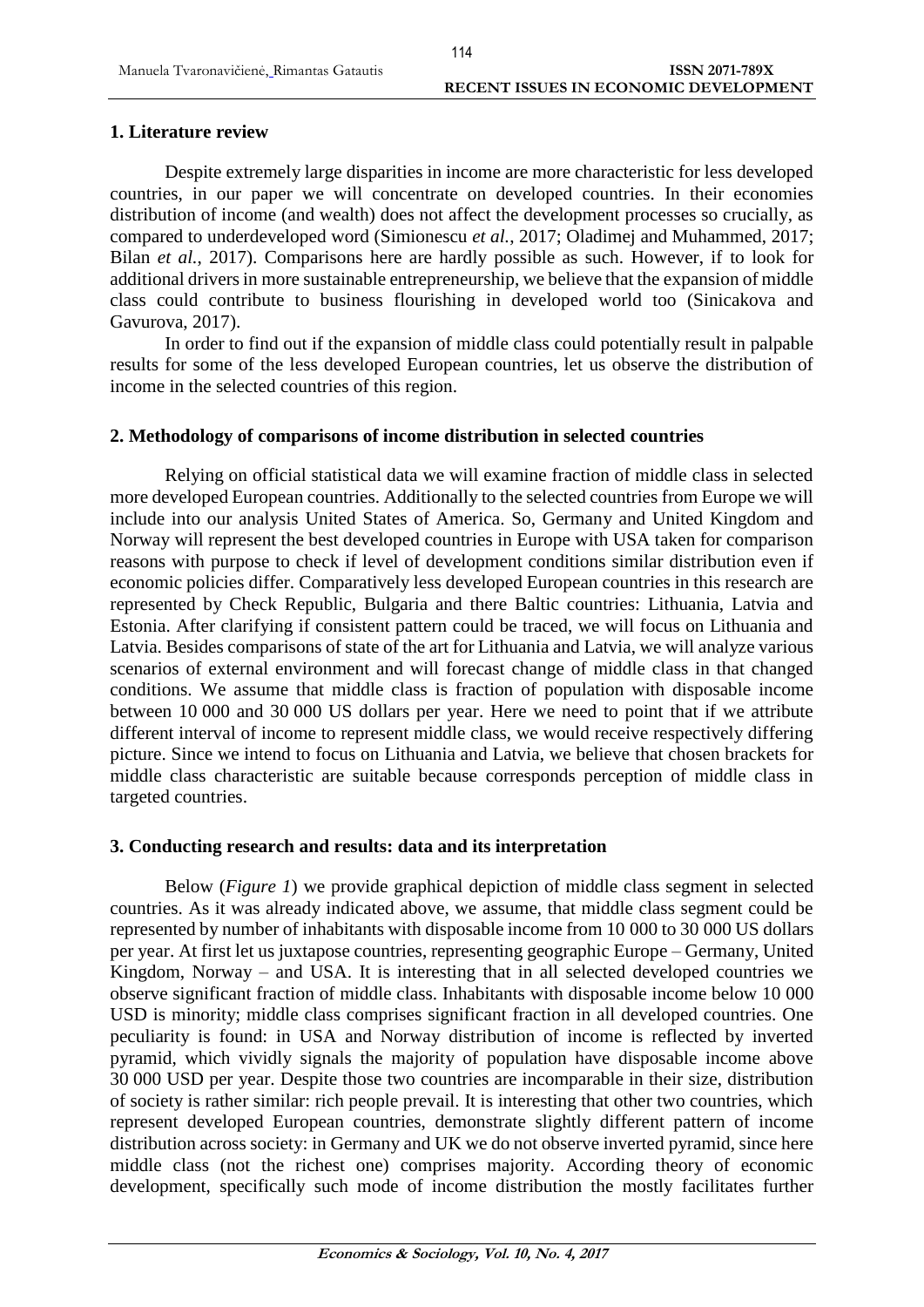# **1. Literature review**

Despite extremely large disparities in income are more characteristic for less developed countries, in our paper we will concentrate on developed countries. In their economies distribution of income (and wealth) does not affect the development processes so crucially, as compared to underdeveloped word (Simionescu *et al.*, 2017; Oladimej and Muhammed, 2017; Bilan *et al.*, 2017). Comparisons here are hardly possible as such. However, if to look for additional drivers in more sustainable entrepreneurship, we believe that the expansion of middle class could contribute to business flourishing in developed world too (Sinicakova and Gavurova, 2017).

In order to find out if the expansion of middle class could potentially result in palpable results for some of the less developed European countries, let us observe the distribution of income in the selected countries of this region.

# **2. Methodology of comparisons of income distribution in selected countries**

Relying on official statistical data we will examine fraction of middle class in selected more developed European countries. Additionally to the selected countries from Europe we will include into our analysis United States of America. So, Germany and United Kingdom and Norway will represent the best developed countries in Europe with USA taken for comparison reasons with purpose to check if level of development conditions similar distribution even if economic policies differ. Comparatively less developed European countries in this research are represented by Check Republic, Bulgaria and there Baltic countries: Lithuania, Latvia and Estonia. After clarifying if consistent pattern could be traced, we will focus on Lithuania and Latvia. Besides comparisons of state of the art for Lithuania and Latvia, we will analyze various scenarios of external environment and will forecast change of middle class in that changed conditions. We assume that middle class is fraction of population with disposable income between 10 000 and 30 000 US dollars per year. Here we need to point that if we attribute different interval of income to represent middle class, we would receive respectively differing picture. Since we intend to focus on Lithuania and Latvia, we believe that chosen brackets for middle class characteristic are suitable because corresponds perception of middle class in targeted countries.

# **3. Conducting research and results: data and its interpretation**

Below (*Figure 1*) we provide graphical depiction of middle class segment in selected countries. As it was already indicated above, we assume, that middle class segment could be represented by number of inhabitants with disposable income from 10 000 to 30 000 US dollars per year. At first let us juxtapose countries, representing geographic Europe – Germany, United Kingdom, Norway – and USA. It is interesting that in all selected developed countries we observe significant fraction of middle class. Inhabitants with disposable income below 10 000 USD is minority; middle class comprises significant fraction in all developed countries. One peculiarity is found: in USA and Norway distribution of income is reflected by inverted pyramid, which vividly signals the majority of population have disposable income above 30 000 USD per year. Despite those two countries are incomparable in their size, distribution of society is rather similar: rich people prevail. It is interesting that other two countries, which represent developed European countries, demonstrate slightly different pattern of income distribution across society: in Germany and UK we do not observe inverted pyramid, since here middle class (not the richest one) comprises majority. According theory of economic development, specifically such mode of income distribution the mostly facilitates further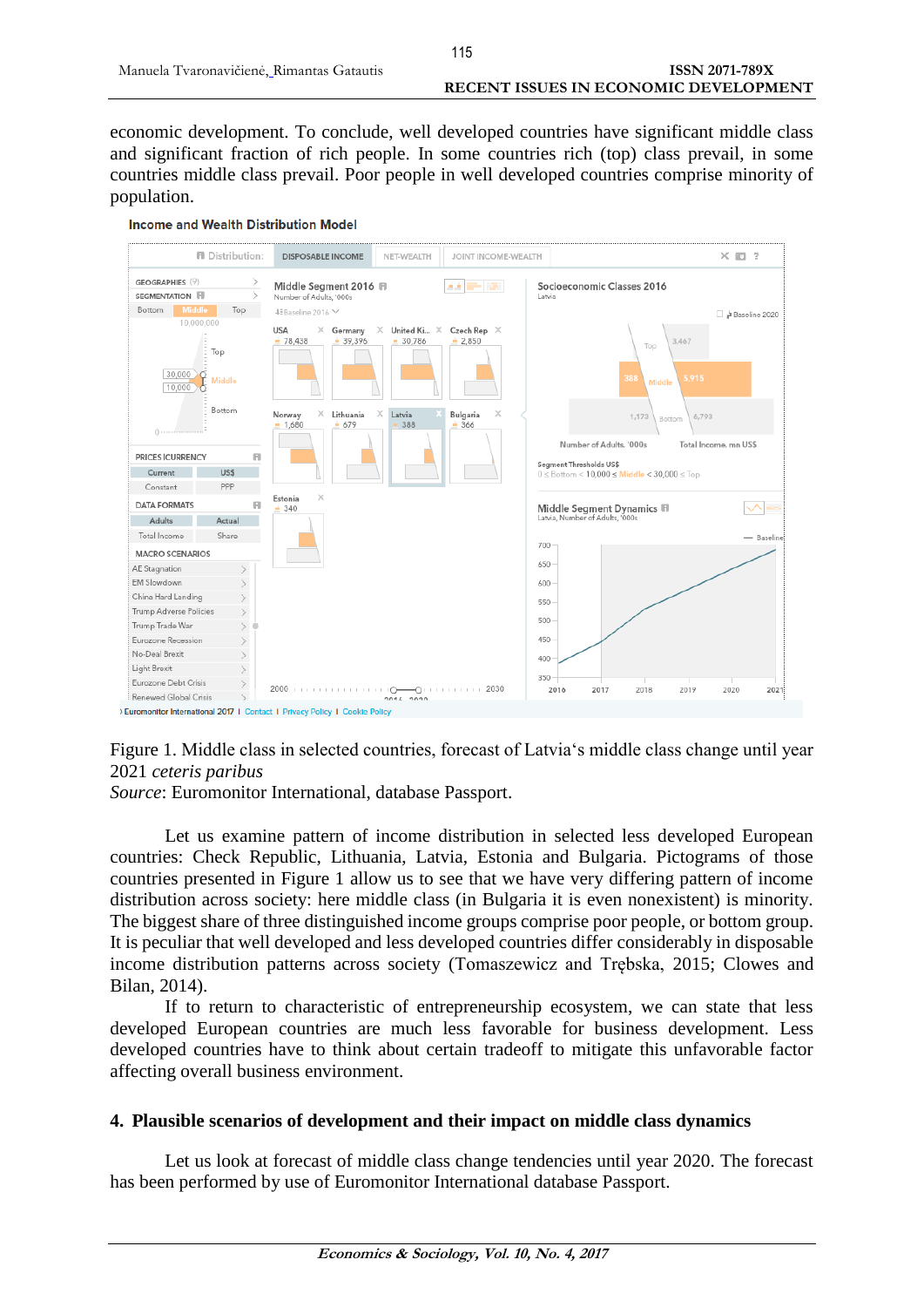economic development. To conclude, well developed countries have significant middle class and significant fraction of rich people. In some countries rich (top) class prevail, in some countries middle class prevail. Poor people in well developed countries comprise minority of population.



Figure 1. Middle class in selected countries, forecast of Latvia's middle class change until year 2021 *ceteris paribus*

*Source*: Euromonitor International, database Passport.

Let us examine pattern of income distribution in selected less developed European countries: Check Republic, Lithuania, Latvia, Estonia and Bulgaria. Pictograms of those countries presented in Figure 1 allow us to see that we have very differing pattern of income distribution across society: here middle class (in Bulgaria it is even nonexistent) is minority. The biggest share of three distinguished income groups comprise poor people, or bottom group. It is peculiar that well developed and less developed countries differ considerably in disposable income distribution patterns across society (Tomaszewicz and Trębska, 2015; Clowes and Bilan, 2014).

If to return to characteristic of entrepreneurship ecosystem, we can state that less developed European countries are much less favorable for business development. Less developed countries have to think about certain tradeoff to mitigate this unfavorable factor affecting overall business environment.

# **4. Plausible scenarios of development and their impact on middle class dynamics**

Let us look at forecast of middle class change tendencies until year 2020. The forecast has been performed by use of Euromonitor International database Passport.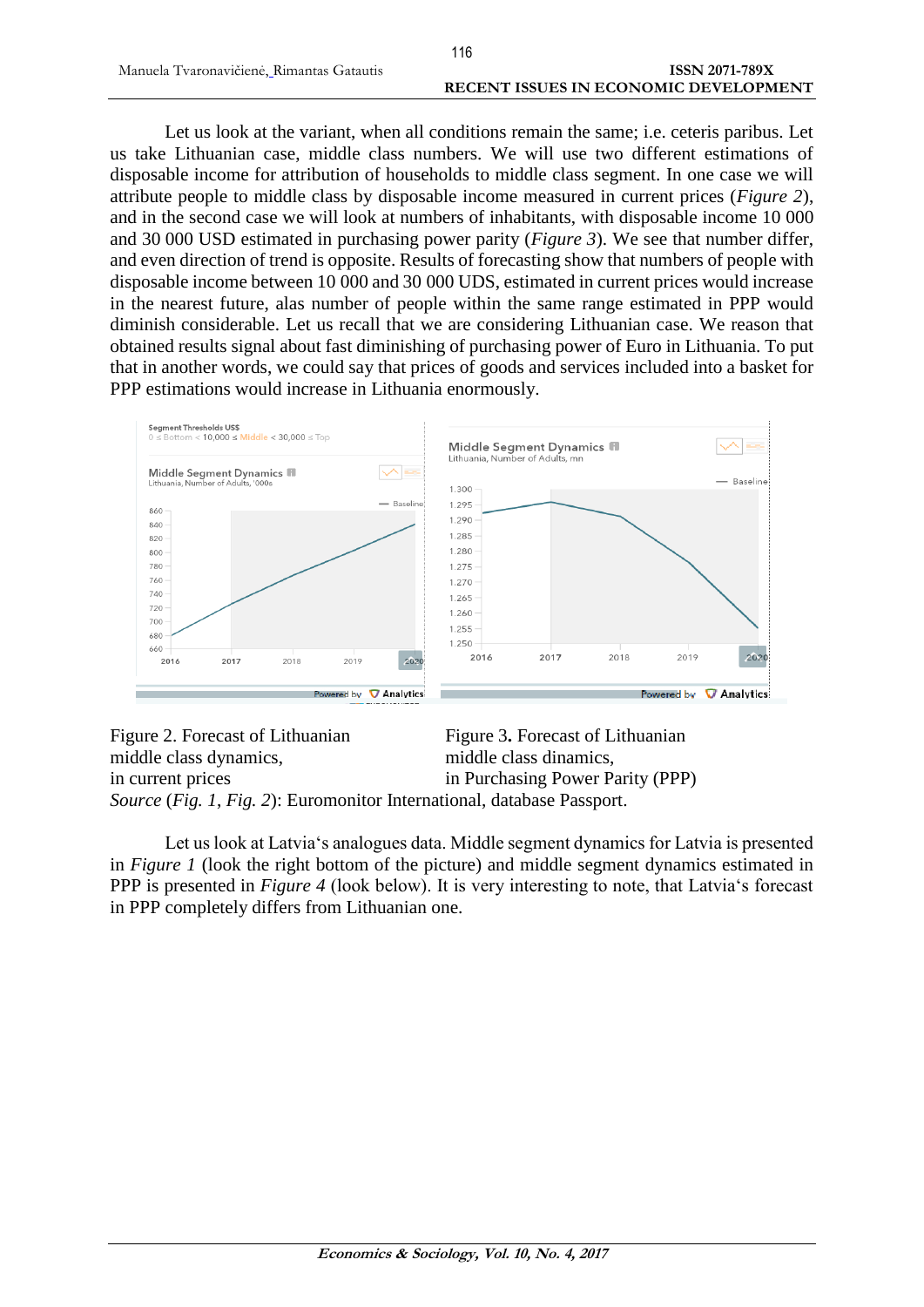Let us look at the variant, when all conditions remain the same; i.e. ceteris paribus. Let us take Lithuanian case, middle class numbers. We will use two different estimations of disposable income for attribution of households to middle class segment. In one case we will attribute people to middle class by disposable income measured in current prices (*Figure 2*), and in the second case we will look at numbers of inhabitants, with disposable income 10 000 and 30 000 USD estimated in purchasing power parity (*Figure 3*). We see that number differ, and even direction of trend is opposite. Results of forecasting show that numbers of people with disposable income between 10 000 and 30 000 UDS, estimated in current prices would increase in the nearest future, alas number of people within the same range estimated in PPP would diminish considerable. Let us recall that we are considering Lithuanian case. We reason that obtained results signal about fast diminishing of purchasing power of Euro in Lithuania. To put that in another words, we could say that prices of goods and services included into a basket for PPP estimations would increase in Lithuania enormously.



Figure 2. Forecast of Lithuanian Figure 3. Forecast of Lithuanian middle class dynamics, middle class dinamics, in current prices in Purchasing Power Parity (PPP) *Source* (*Fig. 1*, *Fig. 2*): Euromonitor International, database Passport.

Let us look at Latvia's analogues data. Middle segment dynamics for Latvia is presented in *Figure 1* (look the right bottom of the picture) and middle segment dynamics estimated in PPP is presented in *Figure 4* (look below). It is very interesting to note, that Latvia's forecast in PPP completely differs from Lithuanian one.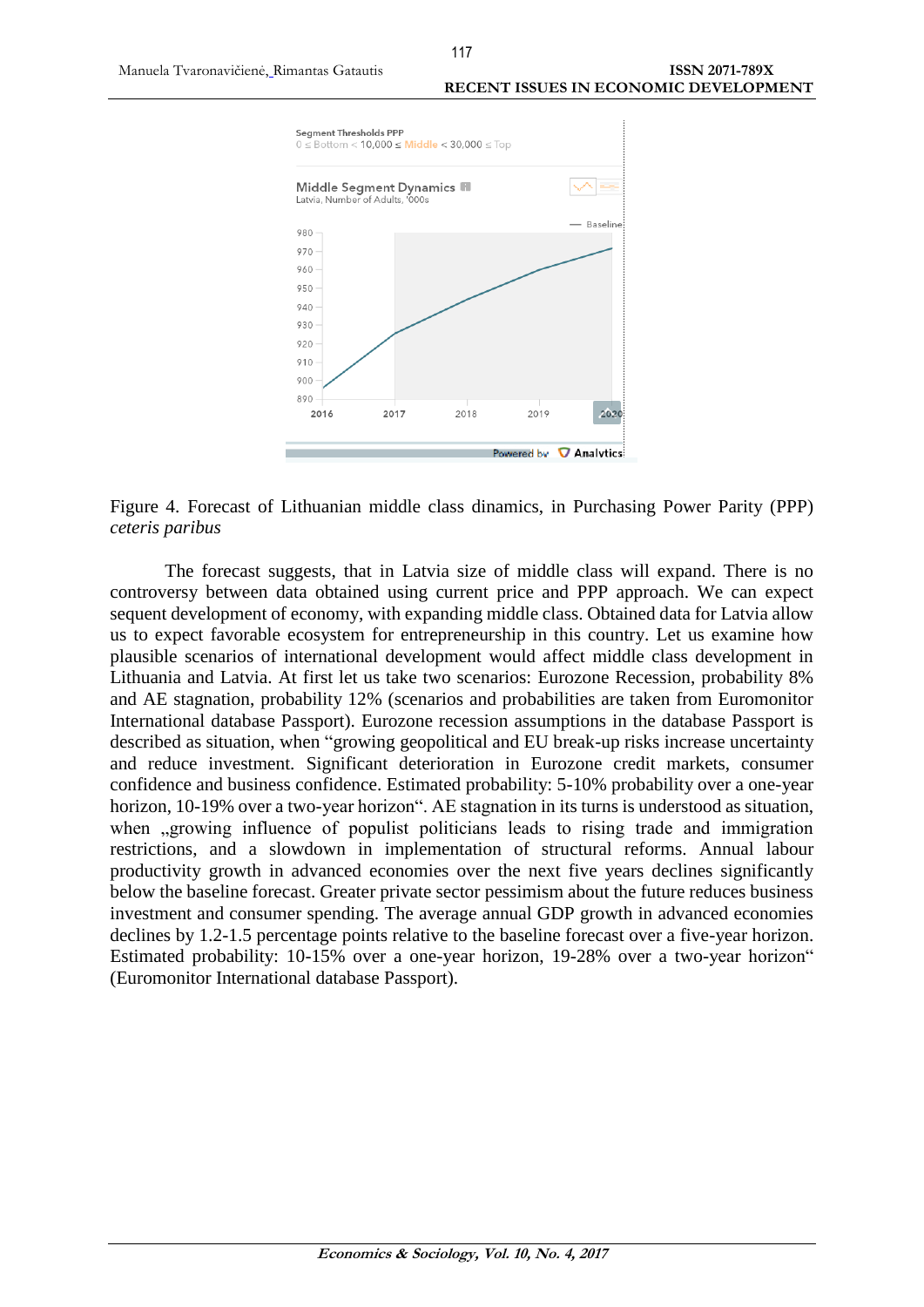

Figure 4. Forecast of Lithuanian middle class dinamics, in Purchasing Power Parity (PPP) *ceteris paribus*

The forecast suggests, that in Latvia size of middle class will expand. There is no controversy between data obtained using current price and PPP approach. We can expect sequent development of economy, with expanding middle class. Obtained data for Latvia allow us to expect favorable ecosystem for entrepreneurship in this country. Let us examine how plausible scenarios of international development would affect middle class development in Lithuania and Latvia. At first let us take two scenarios: Eurozone Recession, probability 8% and AE stagnation, probability 12% (scenarios and probabilities are taken from Euromonitor International database Passport). Eurozone recession assumptions in the database Passport is described as situation, when "growing geopolitical and EU break-up risks increase uncertainty and reduce investment. Significant deterioration in Eurozone credit markets, consumer confidence and business confidence. Estimated probability: 5-10% probability over a one-year horizon, 10-19% over a two-year horizon". AE stagnation in its turns is understood as situation, when , growing influence of populist politicians leads to rising trade and immigration restrictions, and a slowdown in implementation of structural reforms. Annual labour productivity growth in advanced economies over the next five years declines significantly below the baseline forecast. Greater private sector pessimism about the future reduces business investment and consumer spending. The average annual GDP growth in advanced economies declines by 1.2-1.5 percentage points relative to the baseline forecast over a five-year horizon. Estimated probability: 10-15% over a one-year horizon, 19-28% over a two-year horizon" (Euromonitor International database Passport).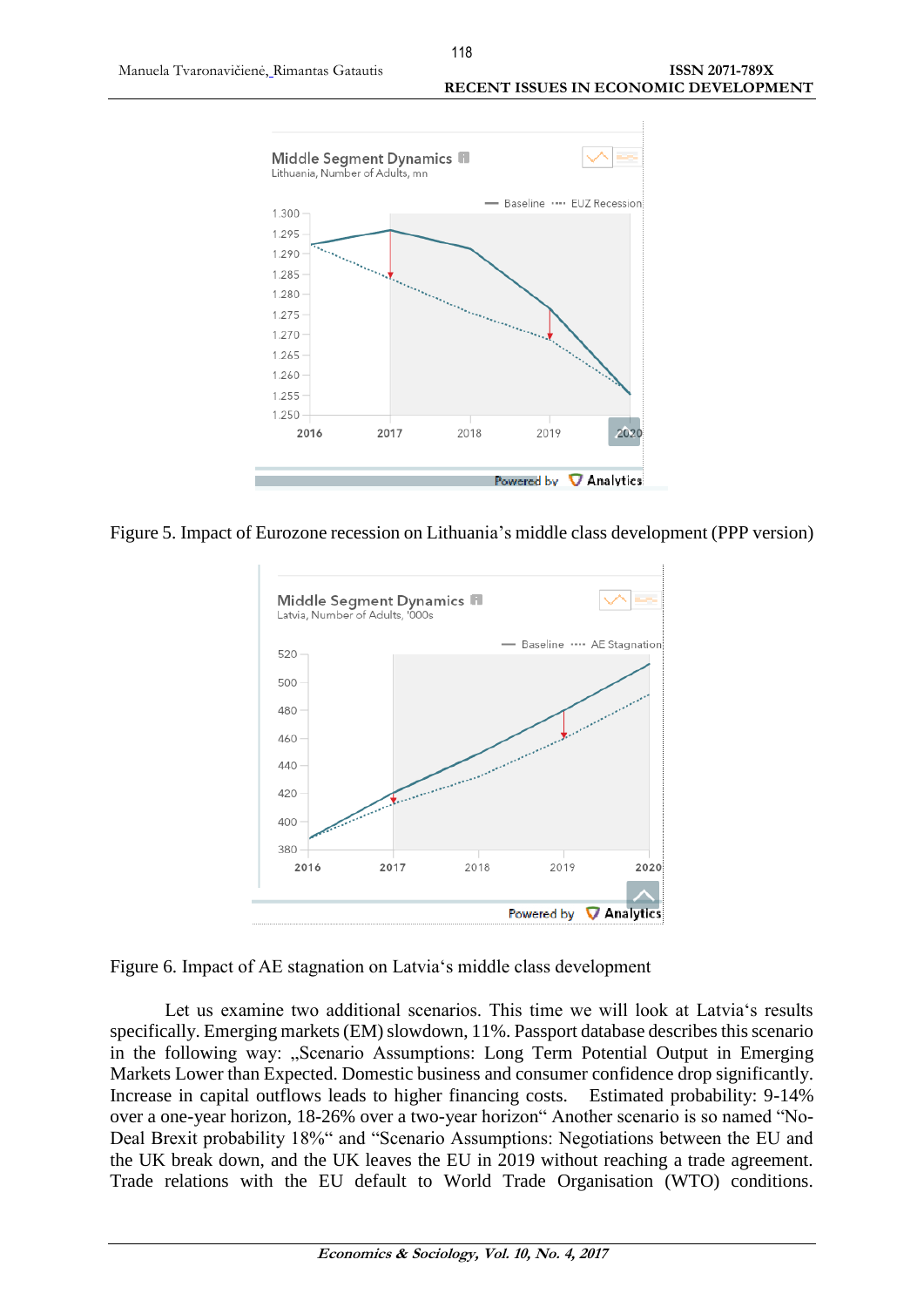

Figure 5. Impact of Eurozone recession on Lithuania's middle class development (PPP version)



Figure 6. Impact of AE stagnation on Latvia's middle class development

Let us examine two additional scenarios. This time we will look at Latvia's results specifically. Emerging markets (EM) slowdown, 11%. Passport database describes this scenario in the following way: "Scenario Assumptions: Long Term Potential Output in Emerging Markets Lower than Expected. Domestic business and consumer confidence drop significantly. Increase in capital outflows leads to higher financing costs. Estimated probability: 9-14% over a one-year horizon, 18-26% over a two-year horizon" Another scenario is so named "No-Deal Brexit probability 18%" and "Scenario Assumptions: Negotiations between the EU and the UK break down, and the UK leaves the EU in 2019 without reaching a trade agreement. Trade relations with the EU default to World Trade Organisation (WTO) conditions.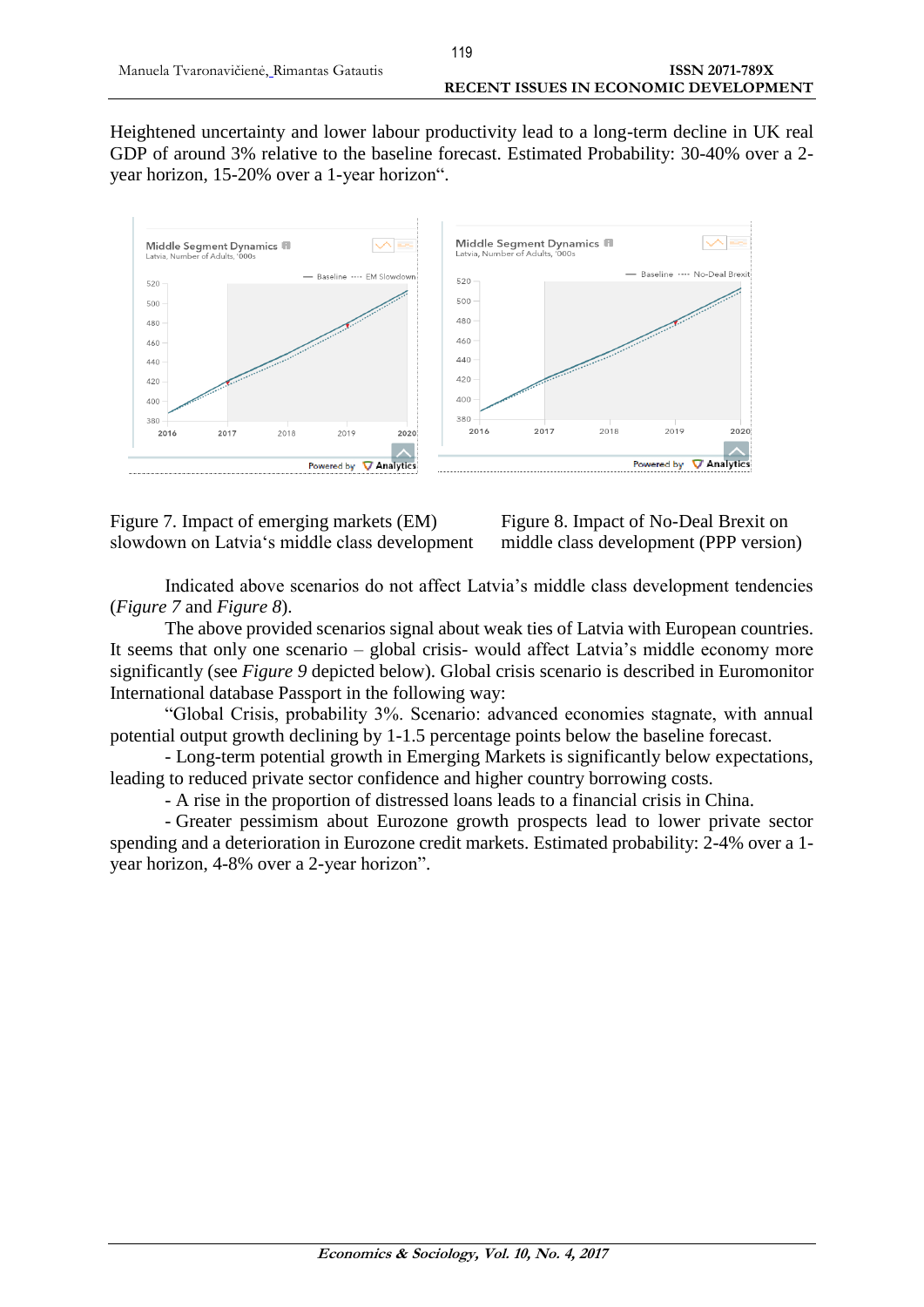Heightened uncertainty and lower labour productivity lead to a long-term decline in UK real GDP of around 3% relative to the baseline forecast. Estimated Probability: 30-40% over a 2 year horizon, 15-20% over a 1-year horizon".



Figure 7. Impact of emerging markets (EM) Figure 8. Impact of No-Deal Brexit on slowdown on Latvia's middle class development middle class development (PPP version)

Indicated above scenarios do not affect Latvia's middle class development tendencies (*Figure 7* and *Figure 8*).

The above provided scenarios signal about weak ties of Latvia with European countries. It seems that only one scenario – global crisis- would affect Latvia's middle economy more significantly (see *Figure 9* depicted below). Global crisis scenario is described in Euromonitor International database Passport in the following way:

"Global Crisis, probability 3%. Scenario: advanced economies stagnate, with annual potential output growth declining by 1-1.5 percentage points below the baseline forecast.

- Long-term potential growth in Emerging Markets is significantly below expectations, leading to reduced private sector confidence and higher country borrowing costs.

- A rise in the proportion of distressed loans leads to a financial crisis in China.

- Greater pessimism about Eurozone growth prospects lead to lower private sector spending and a deterioration in Eurozone credit markets. Estimated probability: 2-4% over a 1 year horizon, 4-8% over a 2-year horizon".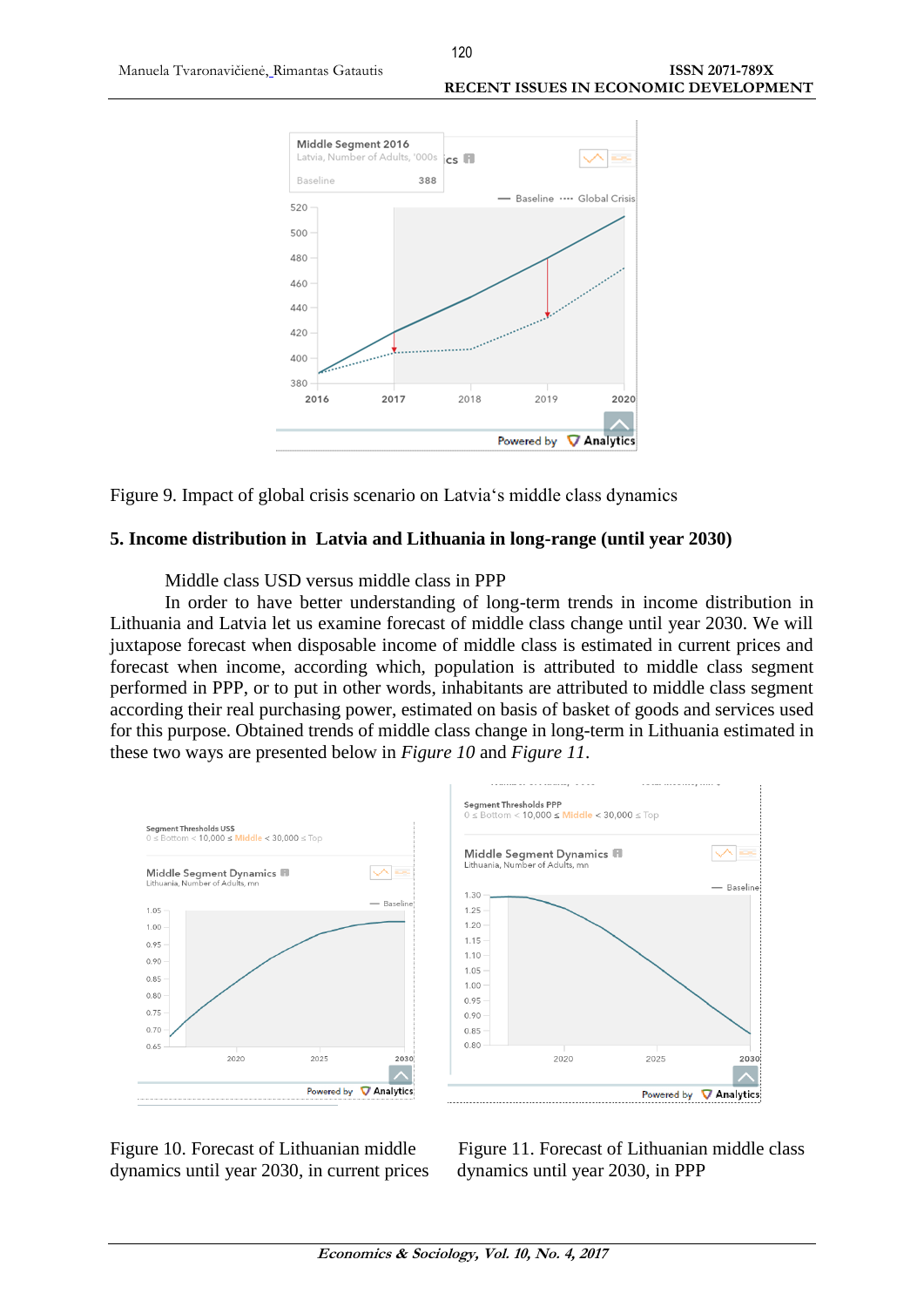

Figure 9. Impact of global crisis scenario on Latvia's middle class dynamics

### **5. Income distribution in Latvia and Lithuania in long-range (until year 2030)**

Middle class USD versus middle class in PPP

In order to have better understanding of long-term trends in income distribution in Lithuania and Latvia let us examine forecast of middle class change until year 2030. We will juxtapose forecast when disposable income of middle class is estimated in current prices and forecast when income, according which, population is attributed to middle class segment performed in PPP, or to put in other words, inhabitants are attributed to middle class segment according their real purchasing power, estimated on basis of basket of goods and services used for this purpose. Obtained trends of middle class change in long-term in Lithuania estimated in these two ways are presented below in *Figure 10* and *Figure 11*.



Figure 10. Forecast of Lithuanian middle Figure 11. Forecast of Lithuanian middle class dynamics until year 2030, in current prices dynamics until year 2030, in PPP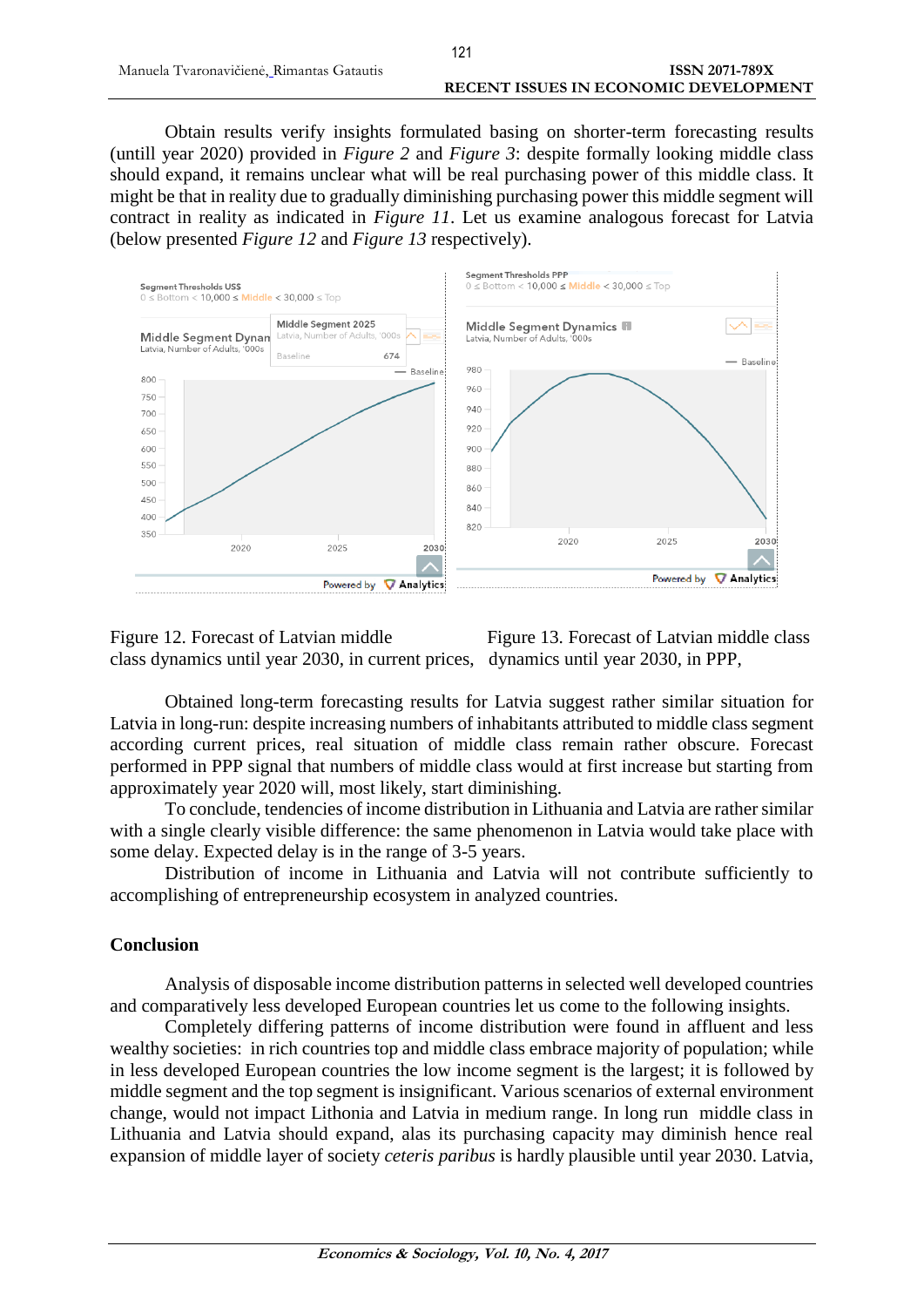Obtain results verify insights formulated basing on shorter-term forecasting results (untill year 2020) provided in *Figure 2* and *Figure 3*: despite formally looking middle class should expand, it remains unclear what will be real purchasing power of this middle class. It might be that in reality due to gradually diminishing purchasing power this middle segment will contract in reality as indicated in *Figure 11*. Let us examine analogous forecast for Latvia (below presented *Figure 12* and *Figure 13* respectively).



Figure 12. Forecast of Latvian middle Figure 13. Forecast of Latvian middle class class dynamics until year 2030, in current prices, dynamics until year 2030, in PPP,

Obtained long-term forecasting results for Latvia suggest rather similar situation for Latvia in long-run: despite increasing numbers of inhabitants attributed to middle class segment according current prices, real situation of middle class remain rather obscure. Forecast performed in PPP signal that numbers of middle class would at first increase but starting from approximately year 2020 will, most likely, start diminishing.

To conclude, tendencies of income distribution in Lithuania and Latvia are rather similar with a single clearly visible difference: the same phenomenon in Latvia would take place with some delay. Expected delay is in the range of 3-5 years.

Distribution of income in Lithuania and Latvia will not contribute sufficiently to accomplishing of entrepreneurship ecosystem in analyzed countries.

# **Conclusion**

Analysis of disposable income distribution patterns in selected well developed countries and comparatively less developed European countries let us come to the following insights.

Completely differing patterns of income distribution were found in affluent and less wealthy societies: in rich countries top and middle class embrace majority of population; while in less developed European countries the low income segment is the largest; it is followed by middle segment and the top segment is insignificant. Various scenarios of external environment change, would not impact Lithonia and Latvia in medium range. In long run middle class in Lithuania and Latvia should expand, alas its purchasing capacity may diminish hence real expansion of middle layer of society *ceteris paribus* is hardly plausible until year 2030. Latvia,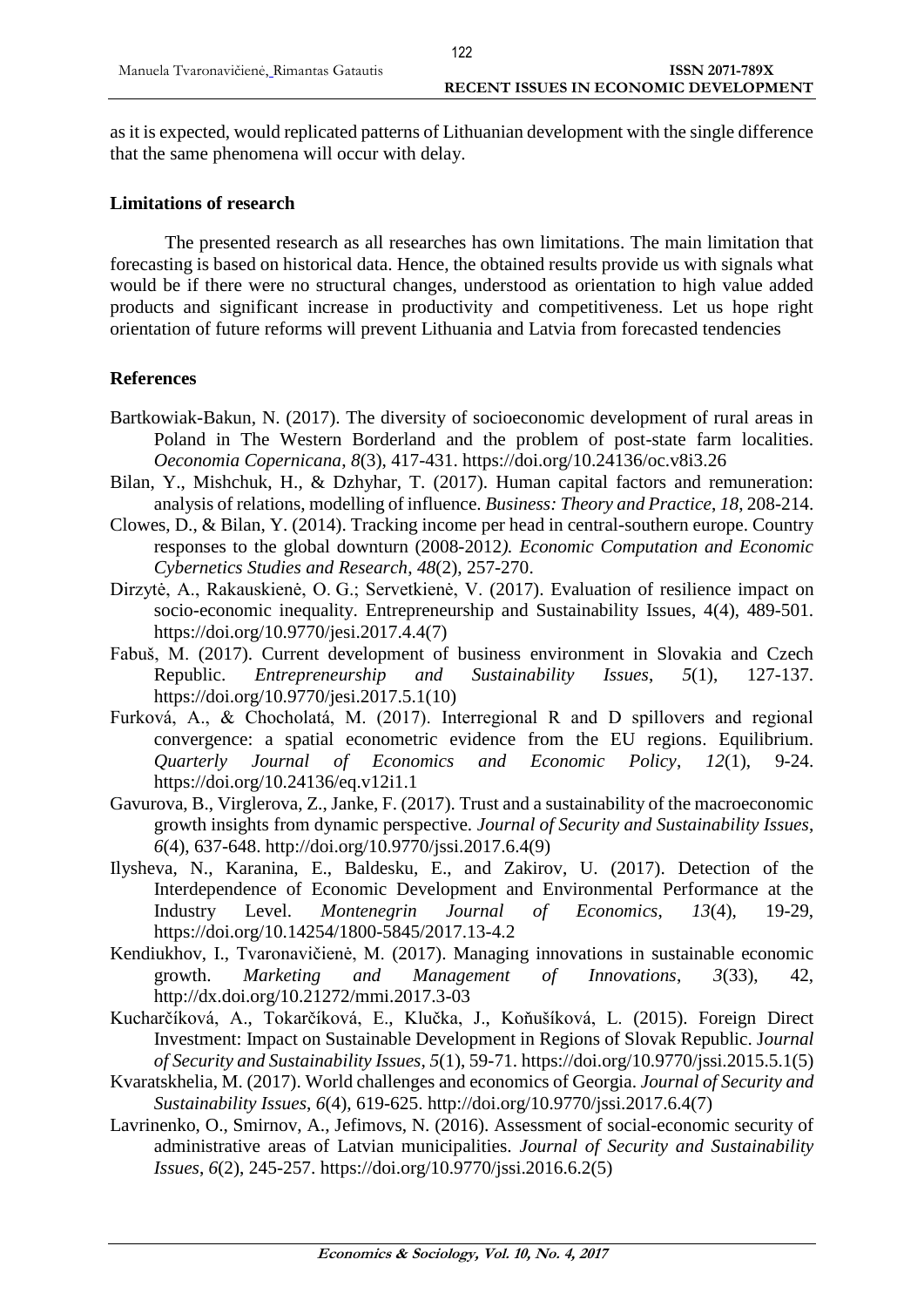as it is expected, would replicated patterns of Lithuanian development with the single difference that the same phenomena will occur with delay.

### **Limitations of research**

The presented research as all researches has own limitations. The main limitation that forecasting is based on historical data. Hence, the obtained results provide us with signals what would be if there were no structural changes, understood as orientation to high value added products and significant increase in productivity and competitiveness. Let us hope right orientation of future reforms will prevent Lithuania and Latvia from forecasted tendencies

### **References**

- Bartkowiak-Bakun, N. (2017). The diversity of socioeconomic development of rural areas in Poland in The Western Borderland and the problem of post-state farm localities. *Oeconomia Copernicana*, *8*(3), 417-431.<https://doi.org/10.24136/oc.v8i3.26>
- Bilan, Y., Mishchuk, H., & Dzhyhar, T. (2017). Human capital factors and remuneration: analysis of relations, modelling of influence. *Business: Theory and Practice*, *18*, 208-214.
- Clowes, D., & Bilan, Y. (2014). Tracking income per head in central-southern europe. Country responses to the global downturn (2008-2012*). Economic Computation and Economic Cybernetics Studies and Research*, *48*(2), 257-270.
- Dirzytė, A., Rakauskienė, O. G.; Servetkienė, V. (2017). Evaluation of resilience impact on socio-economic inequality. Entrepreneurship and Sustainability Issues, 4(4), 489-501. [https://doi.org/10.9770/jesi.2017.4.4\(7\)](https://doi.org/10.9770/jesi.2017.4.4(7))
- Fabuš, M. (2017). Current development of business environment in Slovakia and Czech Republic. *Entrepreneurship and Sustainability Issues*, *5*(1), 127-137. [https://doi.org/10.9770/jesi.2017.5.1\(10\)](https://doi.org/10.9770/jesi.2017.5.1(10))
- Furková, A., & Chocholatá, M. (2017). Interregional R and D spillovers and regional convergence: a spatial econometric evidence from the EU regions. Equilibrium. *Quarterly Journal of Economics and Economic Policy*, *12*(1), 9-24. <https://doi.org/10.24136/eq.v12i1.1>
- Gavurova, B., Virglerova, Z., Janke, F. (2017). Trust and a sustainability of the macroeconomic growth insights from dynamic perspective. *Journal of Security and Sustainability Issues*, *6*(4), 637-648. [http://doi.org/10.9770/jssi.2017.6.4\(9\)](http://doi.org/10.9770/jssi.2017.6.4(9))
- Ilysheva, N., Karanina, E., Baldesku, E., and Zakirov, U. (2017). Detection of the Interdependence of Economic Development and Environmental Performance at the Industry Level. *Montenegrin Journal of Economics*, *13*(4), 19-29, <https://doi.org/10.14254/1800-5845/2017.13-4.2>
- Kendiukhov, I., Tvaronavičienė, M. (2017). Managing innovations in sustainable economic growth. *Marketing and Management of Innovations*, *3*(33), 42, <http://dx.doi.org/10.21272/mmi.2017.3-03>
- Kucharčíková, A., Tokarčíková, E., Klučka, J., Koňušíková, L. (2015). Foreign Direct Investment: Impact on Sustainable Development in Regions of Slovak Republic. J*ournal of Security and Sustainability Issues*, *5*(1), 59-71. https://doi.org[/10.9770/jssi.2015.5.1\(5\)](http://jssidoi.org/jssi/papers/10.9770/jssi.2015.5.1(5))
- Kvaratskhelia, M. (2017). World challenges and economics of Georgia. *Journal of Security and Sustainability Issues*, *6*(4), 619-625. [http://doi.org/10.9770/jssi.2017.6.4\(7\)](http://doi.org/10.9770/jssi.2017.6.4(7))
- Lavrinenko, O., Smirnov, A., Jefimovs, N. (2016). Assessment of social-economic security of administrative areas of Latvian municipalities. *Journal of Security and Sustainability Issues*, *6*(2), 245-257. [https://doi.org/10.9770/jssi.2016.6.2\(5\)](https://doi.org/10.9770/jssi.2016.6.2(5))